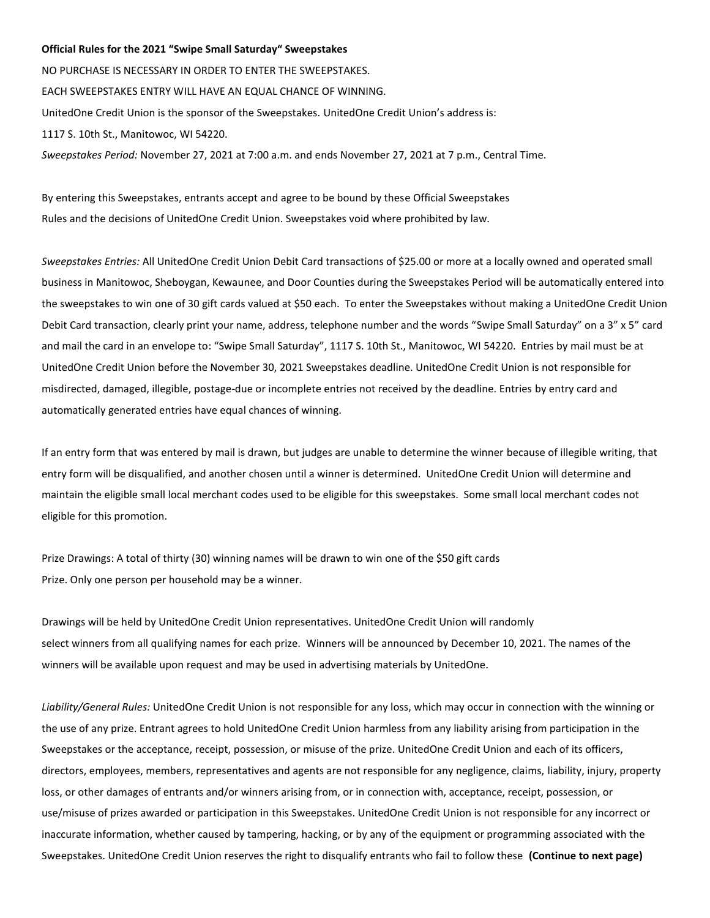## **Official Rules for the 2021 "Swipe Small Saturday" Sweepstakes**

NO PURCHASE IS NECESSARY IN ORDER TO ENTER THE SWEEPSTAKES. EACH SWEEPSTAKES ENTRY WILL HAVE AN EQUAL CHANCE OF WINNING. UnitedOne Credit Union is the sponsor of the Sweepstakes. UnitedOne Credit Union's address is: 1117 S. 10th St., Manitowoc, WI 54220. *Sweepstakes Period:* November 27, 2021 at 7:00 a.m. and ends November 27, 2021 at 7 p.m., Central Time.

By entering this Sweepstakes, entrants accept and agree to be bound by these Official Sweepstakes Rules and the decisions of UnitedOne Credit Union. Sweepstakes void where prohibited by law.

*Sweepstakes Entries:* All UnitedOne Credit Union Debit Card transactions of \$25.00 or more at a locally owned and operated small business in Manitowoc, Sheboygan, Kewaunee, and Door Counties during the Sweepstakes Period will be automatically entered into the sweepstakes to win one of 30 gift cards valued at \$50 each. To enter the Sweepstakes without making a UnitedOne Credit Union Debit Card transaction, clearly print your name, address, telephone number and the words "Swipe Small Saturday" on a 3" x 5" card and mail the card in an envelope to: "Swipe Small Saturday", 1117 S. 10th St., Manitowoc, WI 54220. Entries by mail must be at UnitedOne Credit Union before the November 30, 2021 Sweepstakes deadline. UnitedOne Credit Union is not responsible for misdirected, damaged, illegible, postage-due or incomplete entries not received by the deadline. Entries by entry card and automatically generated entries have equal chances of winning.

If an entry form that was entered by mail is drawn, but judges are unable to determine the winner because of illegible writing, that entry form will be disqualified, and another chosen until a winner is determined. UnitedOne Credit Union will determine and maintain the eligible small local merchant codes used to be eligible for this sweepstakes. Some small local merchant codes not eligible for this promotion.

Prize Drawings: A total of thirty (30) winning names will be drawn to win one of the \$50 gift cards Prize. Only one person per household may be a winner.

Drawings will be held by UnitedOne Credit Union representatives. UnitedOne Credit Union will randomly select winners from all qualifying names for each prize. Winners will be announced by December 10, 2021. The names of the winners will be available upon request and may be used in advertising materials by UnitedOne.

*Liability/General Rules:* UnitedOne Credit Union is not responsible for any loss, which may occur in connection with the winning or the use of any prize. Entrant agrees to hold UnitedOne Credit Union harmless from any liability arising from participation in the Sweepstakes or the acceptance, receipt, possession, or misuse of the prize. UnitedOne Credit Union and each of its officers, directors, employees, members, representatives and agents are not responsible for any negligence, claims, liability, injury, property loss, or other damages of entrants and/or winners arising from, or in connection with, acceptance, receipt, possession, or use/misuse of prizes awarded or participation in this Sweepstakes. UnitedOne Credit Union is not responsible for any incorrect or inaccurate information, whether caused by tampering, hacking, or by any of the equipment or programming associated with the Sweepstakes. UnitedOne Credit Union reserves the right to disqualify entrants who fail to follow these **(Continue to next page)**